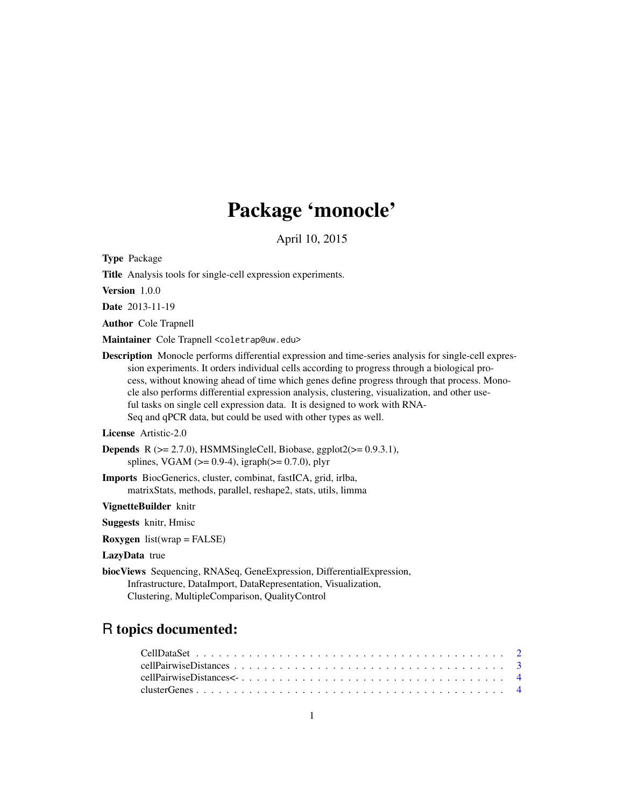# Package 'monocle'

April 10, 2015

Type Package

Title Analysis tools for single-cell expression experiments.

Version 1.0.0

Date 2013-11-19

Author Cole Trapnell

Maintainer Cole Trapnell <coletrap@uw.edu>

Description Monocle performs differential expression and time-series analysis for single-cell expression experiments. It orders individual cells according to progress through a biological process, without knowing ahead of time which genes define progress through that process. Monocle also performs differential expression analysis, clustering, visualization, and other useful tasks on single cell expression data. It is designed to work with RNA-Seq and qPCR data, but could be used with other types as well.

#### License Artistic-2.0

```
Depends R (>= 2.7.0), HSMMSingleCell, Biobase, ggplot2(>= 0.9.3.1),
     splines, VGAM (>= 0.9-4), igraph(>= 0.7.0), plyr
```
Imports BiocGenerics, cluster, combinat, fastICA, grid, irlba, matrixStats, methods, parallel, reshape2, stats, utils, limma

VignetteBuilder knitr

Suggests knitr, Hmisc

**Roxygen** list(wrap = FALSE)

#### LazyData true

biocViews Sequencing, RNASeq, GeneExpression, DifferentialExpression, Infrastructure, DataImport, DataRepresentation, Visualization, Clustering, MultipleComparison, QualityControl

# R topics documented: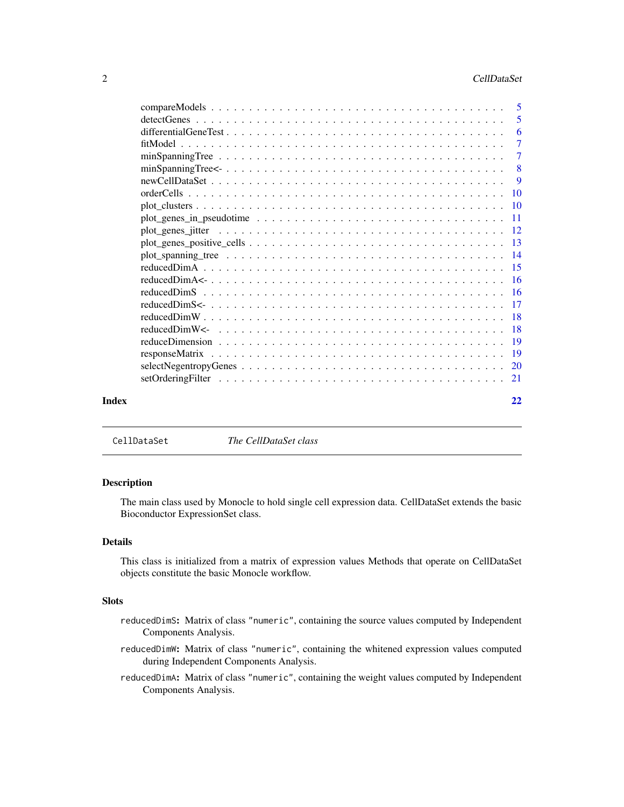<span id="page-1-0"></span>

|       |                                                                                                                   | 5              |
|-------|-------------------------------------------------------------------------------------------------------------------|----------------|
|       |                                                                                                                   | 6              |
|       |                                                                                                                   | $\overline{7}$ |
|       |                                                                                                                   | $\overline{7}$ |
|       | $minSpanningTree \leq \ldots \ldots \ldots \ldots \ldots \ldots \ldots \ldots \ldots \ldots \ldots \ldots \ldots$ | -8             |
|       |                                                                                                                   | -9             |
|       |                                                                                                                   |                |
|       |                                                                                                                   |                |
|       |                                                                                                                   |                |
|       |                                                                                                                   |                |
|       |                                                                                                                   |                |
|       |                                                                                                                   |                |
|       |                                                                                                                   |                |
|       |                                                                                                                   |                |
|       |                                                                                                                   |                |
|       |                                                                                                                   |                |
|       |                                                                                                                   |                |
|       |                                                                                                                   |                |
|       |                                                                                                                   |                |
|       |                                                                                                                   |                |
|       |                                                                                                                   |                |
|       |                                                                                                                   |                |
| Index |                                                                                                                   | 22             |

CellDataSet *The CellDataSet class*

#### Description

The main class used by Monocle to hold single cell expression data. CellDataSet extends the basic Bioconductor ExpressionSet class.

# Details

This class is initialized from a matrix of expression values Methods that operate on CellDataSet objects constitute the basic Monocle workflow.

#### Slots

- reducedDimS: Matrix of class "numeric", containing the source values computed by Independent Components Analysis.
- reducedDimW: Matrix of class "numeric", containing the whitened expression values computed during Independent Components Analysis.
- reducedDimA: Matrix of class "numeric", containing the weight values computed by Independent Components Analysis.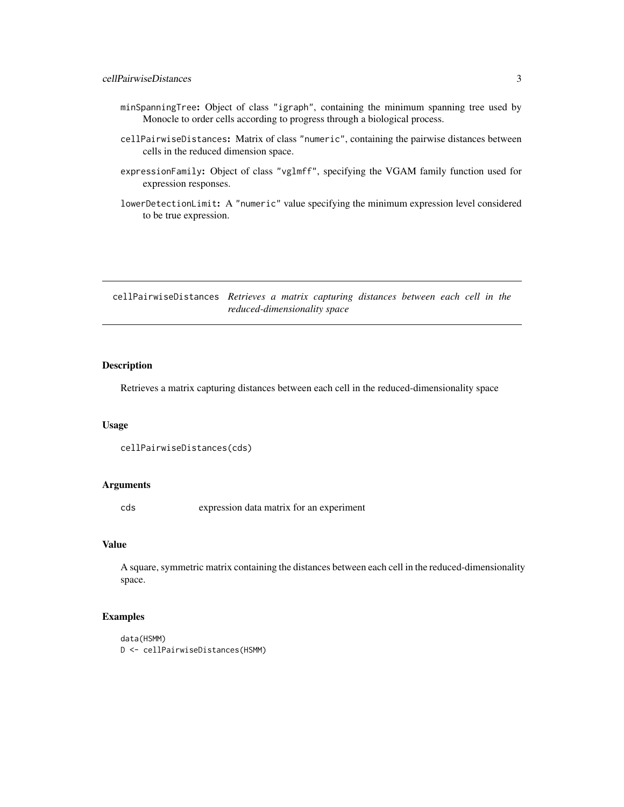- <span id="page-2-0"></span>minSpanningTree: Object of class "igraph", containing the minimum spanning tree used by Monocle to order cells according to progress through a biological process.
- cellPairwiseDistances: Matrix of class "numeric", containing the pairwise distances between cells in the reduced dimension space.
- expressionFamily: Object of class "vglmff", specifying the VGAM family function used for expression responses.
- lowerDetectionLimit: A "numeric" value specifying the minimum expression level considered to be true expression.

cellPairwiseDistances *Retrieves a matrix capturing distances between each cell in the reduced-dimensionality space*

#### Description

Retrieves a matrix capturing distances between each cell in the reduced-dimensionality space

#### Usage

```
cellPairwiseDistances(cds)
```
#### Arguments

cds expression data matrix for an experiment

# Value

A square, symmetric matrix containing the distances between each cell in the reduced-dimensionality space.

# Examples

```
data(HSMM)
D <- cellPairwiseDistances(HSMM)
```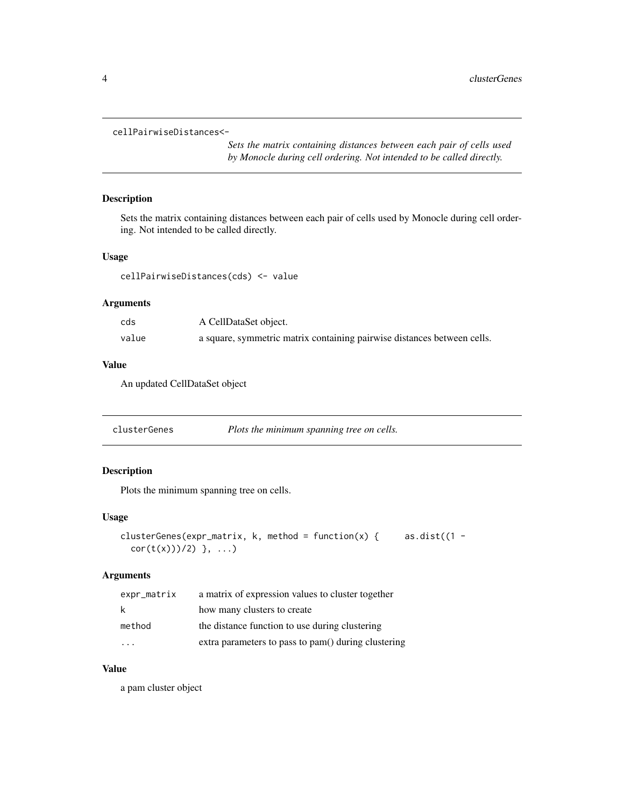```
cellPairwiseDistances<-
```
*Sets the matrix containing distances between each pair of cells used by Monocle during cell ordering. Not intended to be called directly.*

#### Description

Sets the matrix containing distances between each pair of cells used by Monocle during cell ordering. Not intended to be called directly.

#### Usage

cellPairwiseDistances(cds) <- value

#### Arguments

| cds   | A CellDataSet object.                                                   |
|-------|-------------------------------------------------------------------------|
| value | a square, symmetric matrix containing pairwise distances between cells. |

#### Value

An updated CellDataSet object

| clusterGenes | Plots the minimum spanning tree on cells. |  |
|--------------|-------------------------------------------|--|
|--------------|-------------------------------------------|--|

# Description

Plots the minimum spanning tree on cells.

#### Usage

```
clusterGenes(expr_matrix, k, method = function(x) { as.dist((1 -
  cor(t(x)))/2) }, ...)
```
#### Arguments

| expr_matrix             | a matrix of expression values to cluster together   |
|-------------------------|-----------------------------------------------------|
| k                       | how many clusters to create                         |
| method                  | the distance function to use during clustering      |
| $\cdot$ $\cdot$ $\cdot$ | extra parameters to pass to pam() during clustering |

# Value

a pam cluster object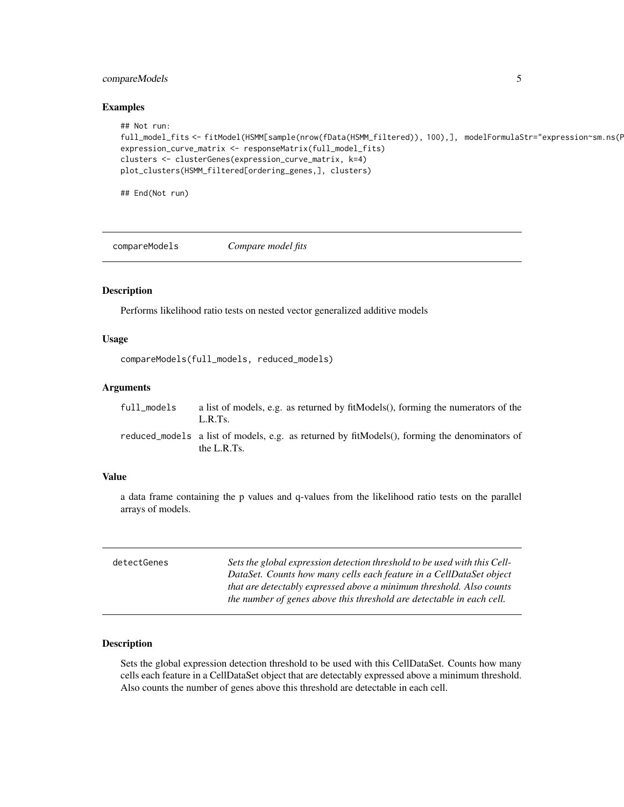#### <span id="page-4-0"></span>compareModels 5

#### Examples

```
## Not run:
full_model_fits <- fitModel(HSMM[sample(nrow(fData(HSMM_filtered)), 100),], modelFormulaStr="expression~sm.ns(F
expression_curve_matrix <- responseMatrix(full_model_fits)
clusters <- clusterGenes(expression_curve_matrix, k=4)
plot_clusters(HSMM_filtered[ordering_genes,], clusters)
```
## End(Not run)

compareModels *Compare model fits*

#### Description

Performs likelihood ratio tests on nested vector generalized additive models

#### Usage

```
compareModels(full_models, reduced_models)
```
#### Arguments

| full_models | a list of models, e.g. as returned by fit Models(), forming the numerators of the |
|-------------|-----------------------------------------------------------------------------------|
|             | L.R.Ts.                                                                           |
|             |                                                                                   |

reduced\_models a list of models, e.g. as returned by fitModels(), forming the denominators of the L.R.Ts.

#### Value

a data frame containing the p values and q-values from the likelihood ratio tests on the parallel arrays of models.

| detectGenes | Sets the global expression detection threshold to be used with this Cell-<br>DataSet. Counts how many cells each feature in a CellDataSet object |
|-------------|--------------------------------------------------------------------------------------------------------------------------------------------------|
|             | that are detectably expressed above a minimum threshold. Also counts<br>the number of genes above this threshold are detectable in each cell.    |

#### Description

Sets the global expression detection threshold to be used with this CellDataSet. Counts how many cells each feature in a CellDataSet object that are detectably expressed above a minimum threshold. Also counts the number of genes above this threshold are detectable in each cell.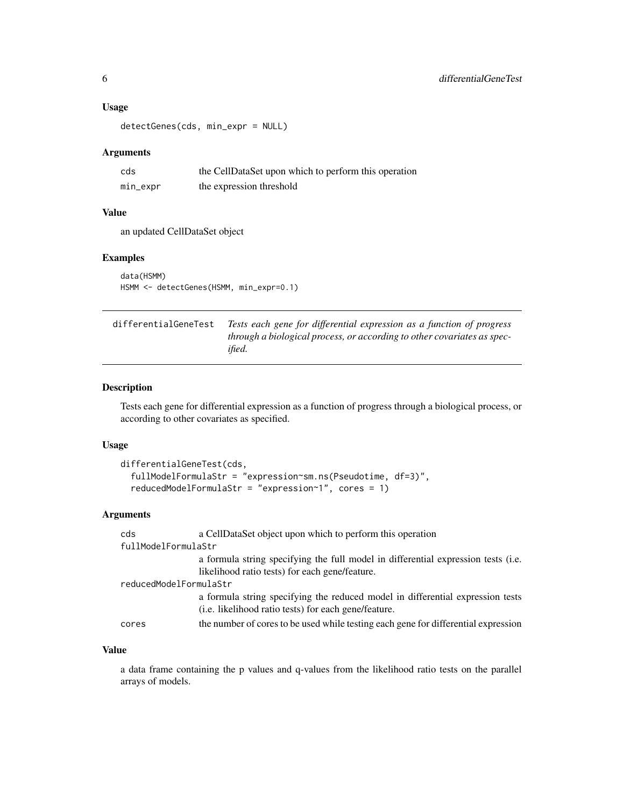#### Usage

```
detectGenes(cds, min_expr = NULL)
```
## Arguments

| cds      | the CellDataSet upon which to perform this operation |
|----------|------------------------------------------------------|
| min_expr | the expression threshold                             |

### Value

an updated CellDataSet object

# Examples

```
data(HSMM)
HSMM <- detectGenes(HSMM, min_expr=0.1)
```

| differentialGeneTest | Tests each gene for differential expression as a function of progress   |
|----------------------|-------------------------------------------------------------------------|
|                      | through a biological process, or according to other covariates as spec- |
|                      | ified.                                                                  |

### Description

Tests each gene for differential expression as a function of progress through a biological process, or according to other covariates as specified.

#### Usage

```
differentialGeneTest(cds,
  fullModelFormulaStr = "expression~sm.ns(Pseudotime, df=3)",
  reducedModelFormulaStr = "expression~1", cores = 1)
```
#### Arguments

| cds                    | a CellDataSet object upon which to perform this operation                                                                                      |  |  |
|------------------------|------------------------------------------------------------------------------------------------------------------------------------------------|--|--|
| fullModelFormulaStr    |                                                                                                                                                |  |  |
|                        | a formula string specifying the full model in differential expression tests (i.e.                                                              |  |  |
|                        | likelihood ratio tests) for each gene/feature.                                                                                                 |  |  |
| reducedModelFormulaStr |                                                                                                                                                |  |  |
|                        | a formula string specifying the reduced model in differential expression tests<br>( <i>i.e.</i> likelihood ratio tests) for each gene/feature. |  |  |
| cores                  | the number of cores to be used while testing each gene for differential expression                                                             |  |  |

# Value

a data frame containing the p values and q-values from the likelihood ratio tests on the parallel arrays of models.

<span id="page-5-0"></span>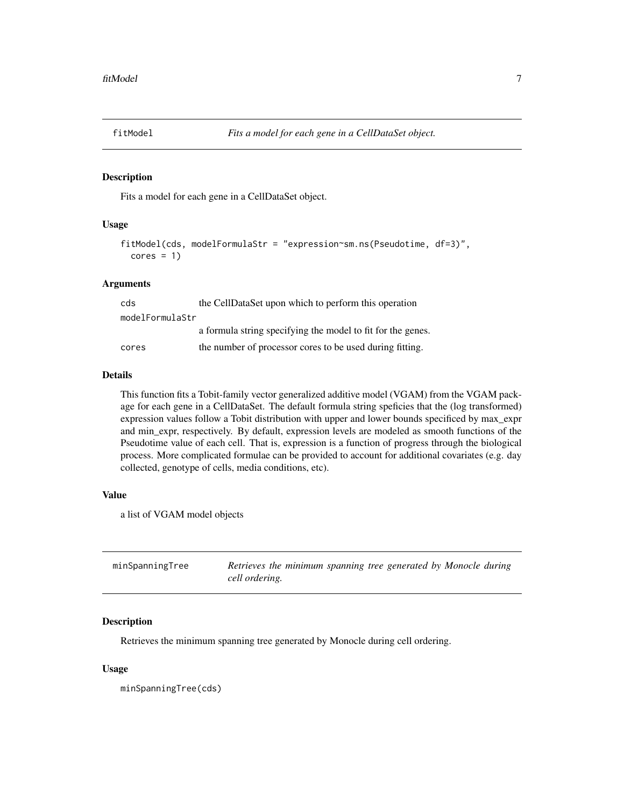<span id="page-6-0"></span>

#### Description

Fits a model for each gene in a CellDataSet object.

# Usage

```
fitModel(cds, modelFormulaStr = "expression~sm.ns(Pseudotime, df=3)",
  cores = 1)
```
#### Arguments

| cds             | the CellDataSet upon which to perform this operation        |
|-----------------|-------------------------------------------------------------|
| modelFormulaStr |                                                             |
|                 | a formula string specifying the model to fit for the genes. |
| cores           | the number of processor cores to be used during fitting.    |

#### Details

This function fits a Tobit-family vector generalized additive model (VGAM) from the VGAM package for each gene in a CellDataSet. The default formula string speficies that the (log transformed) expression values follow a Tobit distribution with upper and lower bounds specificed by max\_expr and min\_expr, respectively. By default, expression levels are modeled as smooth functions of the Pseudotime value of each cell. That is, expression is a function of progress through the biological process. More complicated formulae can be provided to account for additional covariates (e.g. day collected, genotype of cells, media conditions, etc).

#### Value

a list of VGAM model objects

| minSpanningTree | Retrieves the minimum spanning tree generated by Monocle during |
|-----------------|-----------------------------------------------------------------|
|                 | cell ordering.                                                  |

#### Description

Retrieves the minimum spanning tree generated by Monocle during cell ordering.

#### Usage

minSpanningTree(cds)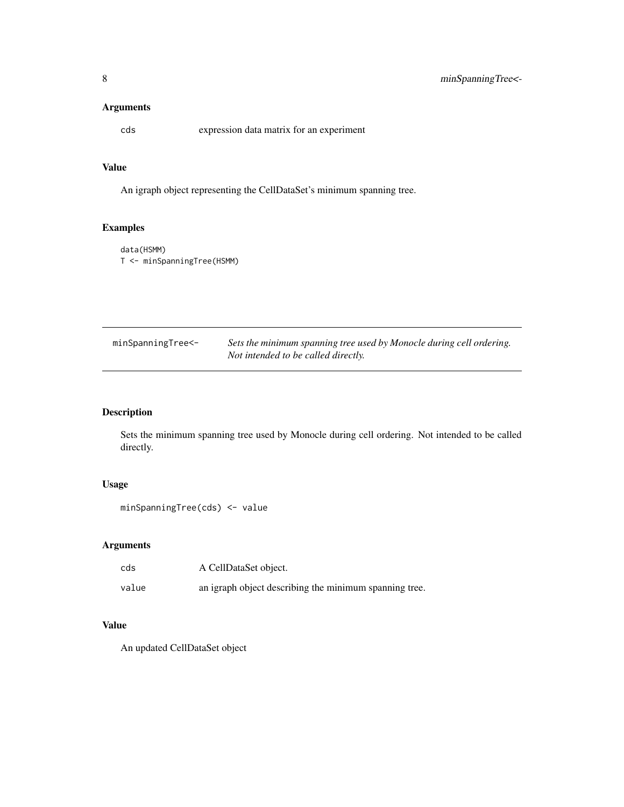<span id="page-7-0"></span>cds expression data matrix for an experiment

#### Value

An igraph object representing the CellDataSet's minimum spanning tree.

# Examples

data(HSMM) T <- minSpanningTree(HSMM)

| minSpanningTree<- | Sets the minimum spanning tree used by Monocle during cell ordering. |
|-------------------|----------------------------------------------------------------------|
|                   | Not intended to be called directly.                                  |

#### Description

Sets the minimum spanning tree used by Monocle during cell ordering. Not intended to be called directly.

#### Usage

```
minSpanningTree(cds) <- value
```
# Arguments

| cds   | A CellDataSet object.                                  |
|-------|--------------------------------------------------------|
| value | an igraph object describing the minimum spanning tree. |

# Value

An updated CellDataSet object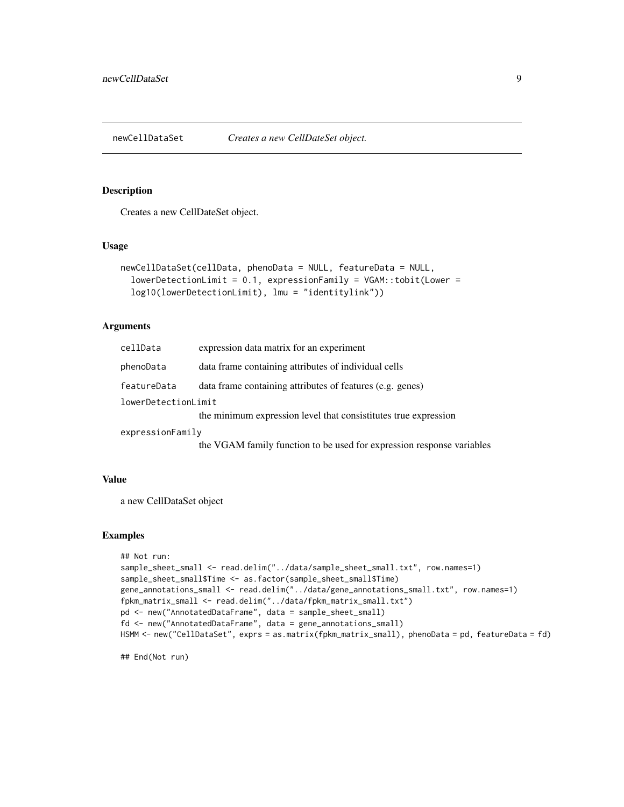<span id="page-8-0"></span>

#### Description

Creates a new CellDateSet object.

#### Usage

```
newCellDataSet(cellData, phenoData = NULL, featureData = NULL,
  lowerDetectionLimit = 0.1, expressionFamily = VGAM::tobit(Lower =
  log10(lowerDetectionLimit), lmu = "identitylink"))
```
#### Arguments

| cellData            | expression data matrix for an experiment                              |
|---------------------|-----------------------------------------------------------------------|
| phenoData           | data frame containing attributes of individual cells                  |
| featureData         | data frame containing attributes of features (e.g. genes)             |
| lowerDetectionLimit |                                                                       |
|                     | the minimum expression level that consistitutes true expression       |
| expressionFamily    |                                                                       |
|                     | the VGAM family function to be used for expression response variables |

#### Value

a new CellDataSet object

#### Examples

```
## Not run:
sample_sheet_small <- read.delim("../data/sample_sheet_small.txt", row.names=1)
sample_sheet_small$Time <- as.factor(sample_sheet_small$Time)
gene_annotations_small <- read.delim("../data/gene_annotations_small.txt", row.names=1)
fpkm_matrix_small <- read.delim("../data/fpkm_matrix_small.txt")
pd <- new("AnnotatedDataFrame", data = sample_sheet_small)
fd <- new("AnnotatedDataFrame", data = gene_annotations_small)
HSMM <- new("CellDataSet", exprs = as.matrix(fpkm_matrix_small), phenoData = pd, featureData = fd)
```
## End(Not run)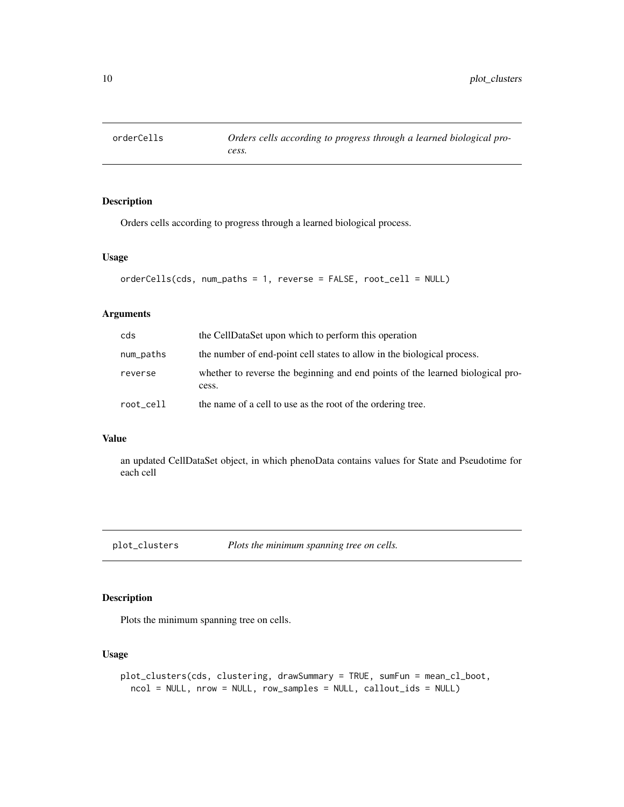<span id="page-9-0"></span>

#### Description

Orders cells according to progress through a learned biological process.

#### Usage

```
orderCells(cds, num_paths = 1, reverse = FALSE, root_cell = NULL)
```
# Arguments

| cds       | the CellDataSet upon which to perform this operation                                    |
|-----------|-----------------------------------------------------------------------------------------|
| num_paths | the number of end-point cell states to allow in the biological process.                 |
| reverse   | whether to reverse the beginning and end points of the learned biological pro-<br>cess. |
| root_cell | the name of a cell to use as the root of the ordering tree.                             |

#### Value

an updated CellDataSet object, in which phenoData contains values for State and Pseudotime for each cell

plot\_clusters *Plots the minimum spanning tree on cells.*

#### Description

Plots the minimum spanning tree on cells.

```
plot_clusters(cds, clustering, drawSummary = TRUE, sumFun = mean_cl_boot,
  ncol = NULL, nrow = NULL, row_samples = NULL, callout_ids = NULL)
```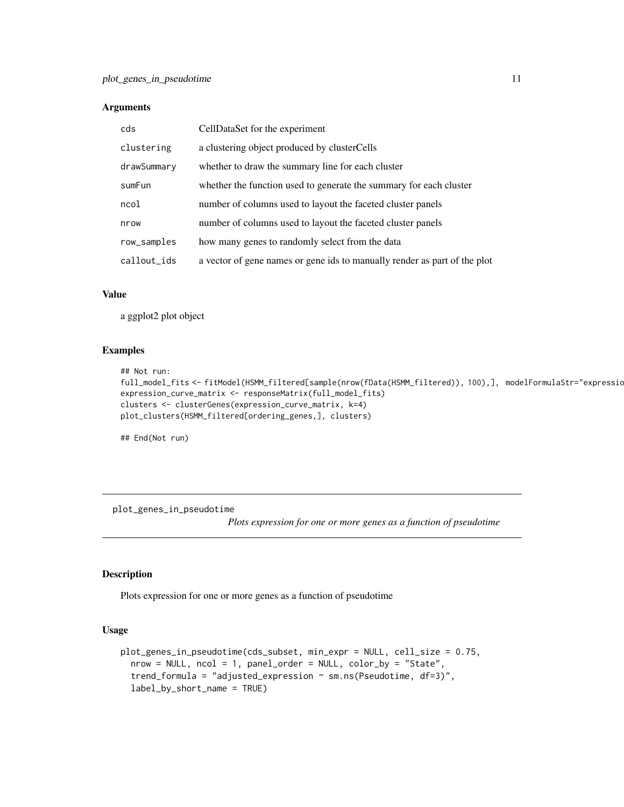<span id="page-10-0"></span>

| cds         | CellDataSet for the experiment                                            |
|-------------|---------------------------------------------------------------------------|
| clustering  | a clustering object produced by clusterCells                              |
| drawSummary | whether to draw the summary line for each cluster                         |
| sumFun      | whether the function used to generate the summary for each cluster        |
| ncol        | number of columns used to layout the faceted cluster panels               |
| nrow        | number of columns used to layout the faceted cluster panels               |
| row_samples | how many genes to randomly select from the data                           |
| callout_ids | a vector of gene names or gene ids to manually render as part of the plot |

#### Value

a ggplot2 plot object

#### Examples

```
## Not run:
```

```
full_model_fits <- fitModel(HSMM_filtered[sample(nrow(fData(HSMM_filtered)), 100),], modelFormulaStr="expressio
expression_curve_matrix <- responseMatrix(full_model_fits)
clusters <- clusterGenes(expression_curve_matrix, k=4)
plot_clusters(HSMM_filtered[ordering_genes,], clusters)
```
## End(Not run)

plot\_genes\_in\_pseudotime

*Plots expression for one or more genes as a function of pseudotime*

#### Description

Plots expression for one or more genes as a function of pseudotime

```
plot_genes_in_pseudotime(cds_subset, min_expr = NULL, cell_size = 0.75,
 nrow = NULL, ncol = 1, panel_order = NULL, color_by = "State",
  trend_formula = "adjusted_expression ~ sm.ns(Pseudotime, df=3)",
  label_by_short_name = TRUE)
```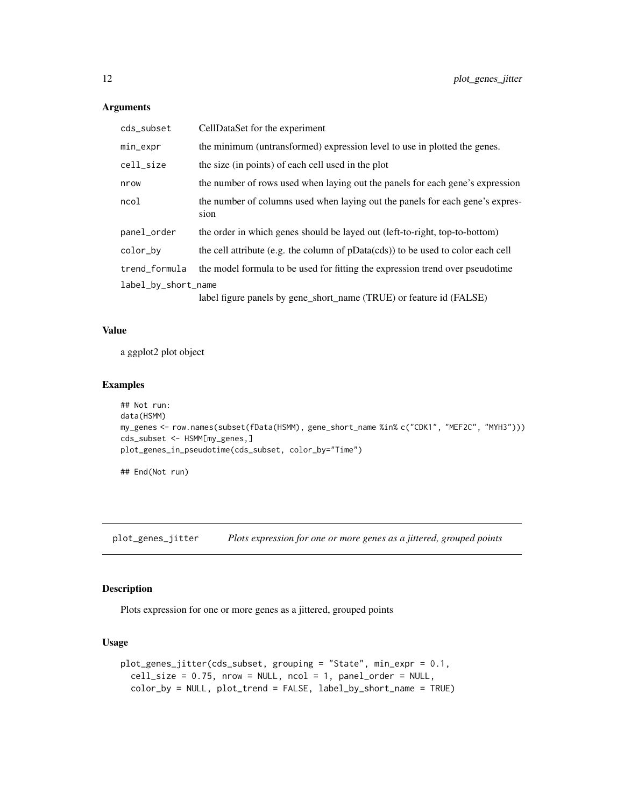| cds_subset          | CellDataSet for the experiment                                                        |  |
|---------------------|---------------------------------------------------------------------------------------|--|
| min_expr            | the minimum (untransformed) expression level to use in plotted the genes.             |  |
| cell_size           | the size (in points) of each cell used in the plot                                    |  |
| nrow                | the number of rows used when laying out the panels for each gene's expression         |  |
| ncol                | the number of columns used when laying out the panels for each gene's expres-<br>sion |  |
| panel_order         | the order in which genes should be layed out (left-to-right, top-to-bottom)           |  |
| color_bv            | the cell attribute (e.g. the column of pData(cds)) to be used to color each cell      |  |
| trend_formula       | the model formula to be used for fitting the expression trend over pseudotime         |  |
| label_by_short_name |                                                                                       |  |
|                     | label figure panels by gene_short_name (TRUE) or feature id (FALSE)                   |  |

#### Value

a ggplot2 plot object

#### Examples

```
## Not run:
data(HSMM)
my_genes <- row.names(subset(fData(HSMM), gene_short_name %in% c("CDK1", "MEF2C", "MYH3")))
cds_subset <- HSMM[my_genes,]
plot_genes_in_pseudotime(cds_subset, color_by="Time")
```
## End(Not run)

plot\_genes\_jitter *Plots expression for one or more genes as a jittered, grouped points*

### Description

Plots expression for one or more genes as a jittered, grouped points

```
plot_genes_jitter(cds_subset, grouping = "State", min_expr = 0.1,
 cell\_size = 0.75, nrow = NULL, ncol = 1, panel_order = NULL,
 color_by = NULL, plot_trend = FALSE, label_by_short_name = TRUE)
```
<span id="page-11-0"></span>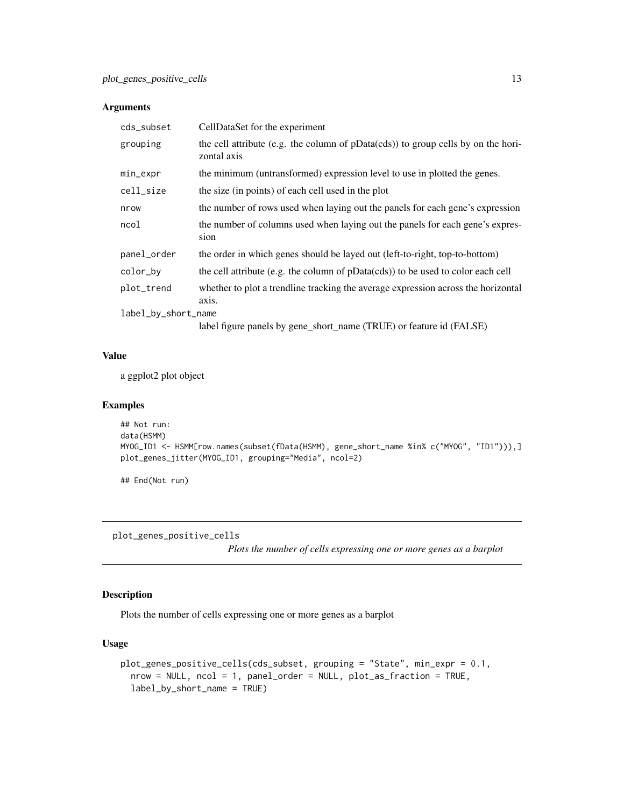<span id="page-12-0"></span>

| cds_subset          | CellDataSet for the experiment                                                                   |
|---------------------|--------------------------------------------------------------------------------------------------|
| grouping            | the cell attribute (e.g. the column of pData(cds)) to group cells by on the hori-<br>zontal axis |
| min_expr            | the minimum (untransformed) expression level to use in plotted the genes.                        |
| cell_size           | the size (in points) of each cell used in the plot                                               |
| nrow                | the number of rows used when laying out the panels for each gene's expression                    |
| ncol                | the number of columns used when laying out the panels for each gene's expres-<br>sion            |
| panel_order         | the order in which genes should be layed out (left-to-right, top-to-bottom)                      |
| color_by            | the cell attribute (e.g. the column of pData(cds)) to be used to color each cell                 |
| plot_trend          | whether to plot a trendline tracking the average expression across the horizontal<br>axis.       |
| label_by_short_name |                                                                                                  |
|                     | label figure panels by gene_short_name (TRUE) or feature id (FALSE)                              |

#### Value

a ggplot2 plot object

#### Examples

```
## Not run:
data(HSMM)
MYOG_ID1 <- HSMM[row.names(subset(fData(HSMM), gene_short_name %in% c("MYOG", "ID1"))),]
plot_genes_jitter(MYOG_ID1, grouping="Media", ncol=2)
```
## End(Not run)

plot\_genes\_positive\_cells

*Plots the number of cells expressing one or more genes as a barplot*

#### Description

Plots the number of cells expressing one or more genes as a barplot

```
plot_genes_positive_cells(cds_subset, grouping = "State", min_expr = 0.1,
  nrow = NULL, ncol = 1, panel_order = NULL, plot_as_fraction = TRUE,
  label_by_short_name = TRUE)
```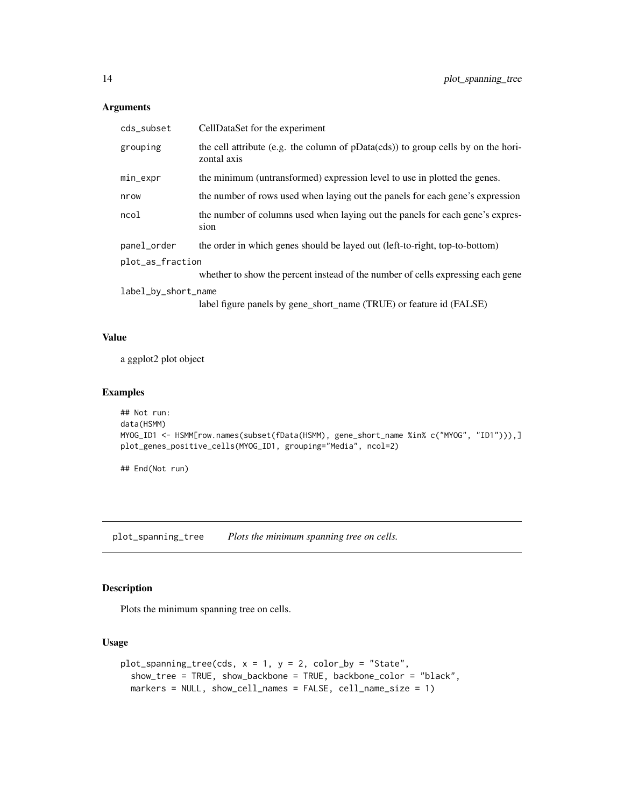<span id="page-13-0"></span>

| cds_subset          | CellDataSet for the experiment                                                                      |  |
|---------------------|-----------------------------------------------------------------------------------------------------|--|
| grouping            | the cell attribute (e.g. the column of $pData(cds)$ ) to group cells by on the hori-<br>zontal axis |  |
| min_expr            | the minimum (untransformed) expression level to use in plotted the genes.                           |  |
| nrow                | the number of rows used when laying out the panels for each gene's expression                       |  |
| ncol                | the number of columns used when laying out the panels for each gene's expres-<br>sion               |  |
| panel_order         | the order in which genes should be layed out (left-to-right, top-to-bottom)                         |  |
| plot_as_fraction    |                                                                                                     |  |
|                     | whether to show the percent instead of the number of cells expressing each gene                     |  |
| label_by_short_name |                                                                                                     |  |
|                     | label figure panels by gene_short_name (TRUE) or feature id (FALSE)                                 |  |

# Value

a ggplot2 plot object

#### Examples

```
## Not run:
data(HSMM)
MYOG_ID1 <- HSMM[row.names(subset(fData(HSMM), gene_short_name %in% c("MYOG", "ID1"))),]
plot_genes_positive_cells(MYOG_ID1, grouping="Media", ncol=2)
```
## End(Not run)

plot\_spanning\_tree *Plots the minimum spanning tree on cells.*

# Description

Plots the minimum spanning tree on cells.

```
plot_spanning_tree(cds, x = 1, y = 2, color_by = "State",
  show_tree = TRUE, show_backbone = TRUE, backbone_color = "black",
 markers = NULL, show_cell_names = FALSE, cell_name_size = 1)
```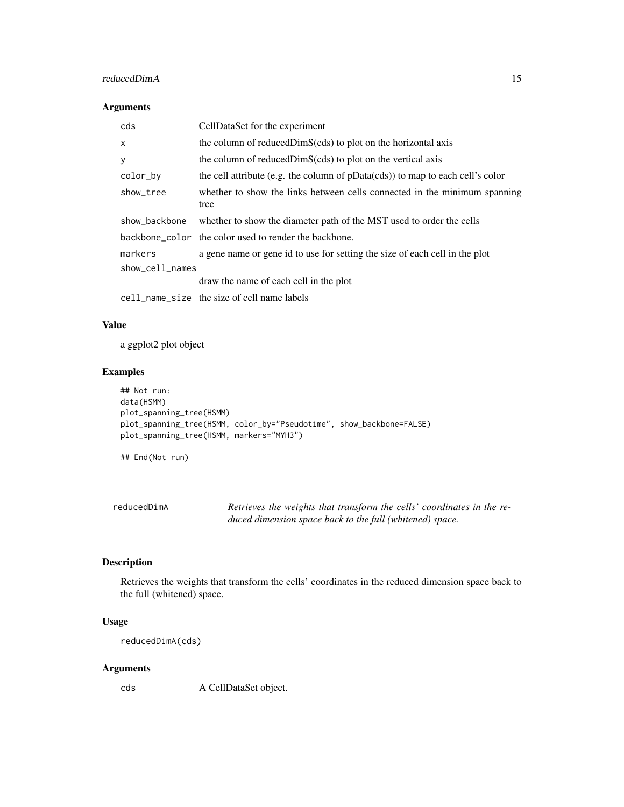#### <span id="page-14-0"></span>reducedDimA 15

#### Arguments

| cds             | CellDataSet for the experiment                                                    |
|-----------------|-----------------------------------------------------------------------------------|
| X               | the column of reduced DimS(cds) to plot on the horizontal axis                    |
| У               | the column of reduced DimS(cds) to plot on the vertical axis                      |
| color_by        | the cell attribute (e.g. the column of $pData(cds)$ ) to map to each cell's color |
| show_tree       | whether to show the links between cells connected in the minimum spanning<br>tree |
| show_backbone   | whether to show the diameter path of the MST used to order the cells              |
|                 | backbone_color the color used to render the backbone.                             |
| markers         | a gene name or gene id to use for setting the size of each cell in the plot       |
| show_cell_names |                                                                                   |
|                 | draw the name of each cell in the plot                                            |
|                 | cell_name_size the size of cell name labels                                       |

#### Value

a ggplot2 plot object

# Examples

```
## Not run:
data(HSMM)
plot_spanning_tree(HSMM)
plot_spanning_tree(HSMM, color_by="Pseudotime", show_backbone=FALSE)
plot_spanning_tree(HSMM, markers="MYH3")
```
## End(Not run)

| reducedDimA | Retrieves the weights that transform the cells' coordinates in the re- |
|-------------|------------------------------------------------------------------------|
|             | duced dimension space back to the full (whitened) space.               |

#### Description

Retrieves the weights that transform the cells' coordinates in the reduced dimension space back to the full (whitened) space.

#### Usage

reducedDimA(cds)

#### Arguments

cds A CellDataSet object.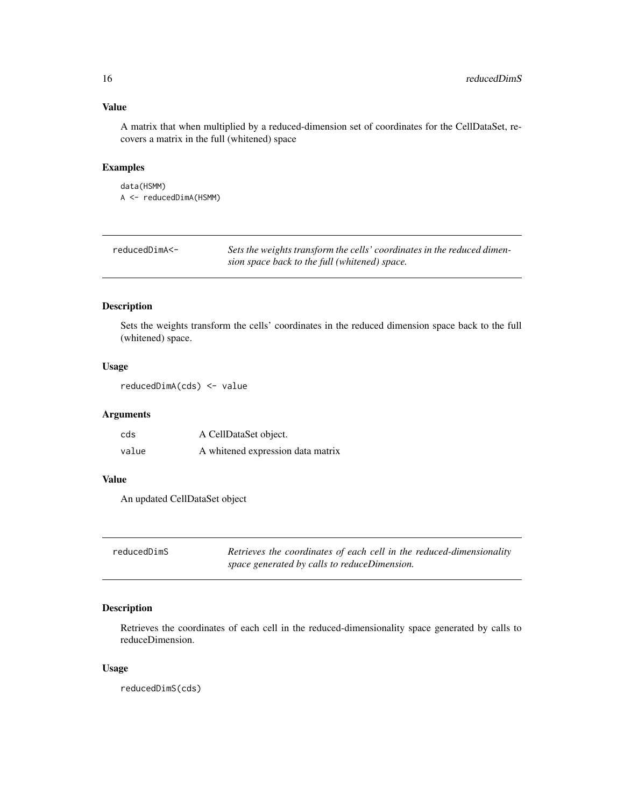# Value

A matrix that when multiplied by a reduced-dimension set of coordinates for the CellDataSet, recovers a matrix in the full (whitened) space

#### Examples

```
data(HSMM)
A <- reducedDimA(HSMM)
```

| reducedDimA<- | Sets the weights transform the cells' coordinates in the reduced dimen- |
|---------------|-------------------------------------------------------------------------|
|               | sion space back to the full (whitened) space.                           |

#### Description

Sets the weights transform the cells' coordinates in the reduced dimension space back to the full (whitened) space.

#### Usage

reducedDimA(cds) <- value

#### Arguments

| cds   | A CellDataSet object.             |
|-------|-----------------------------------|
| value | A whitened expression data matrix |

#### Value

An updated CellDataSet object

| reducedDimS | Retrieves the coordinates of each cell in the reduced-dimensionality |
|-------------|----------------------------------------------------------------------|
|             | space generated by calls to reduceDimension.                         |

# Description

Retrieves the coordinates of each cell in the reduced-dimensionality space generated by calls to reduceDimension.

#### Usage

reducedDimS(cds)

<span id="page-15-0"></span>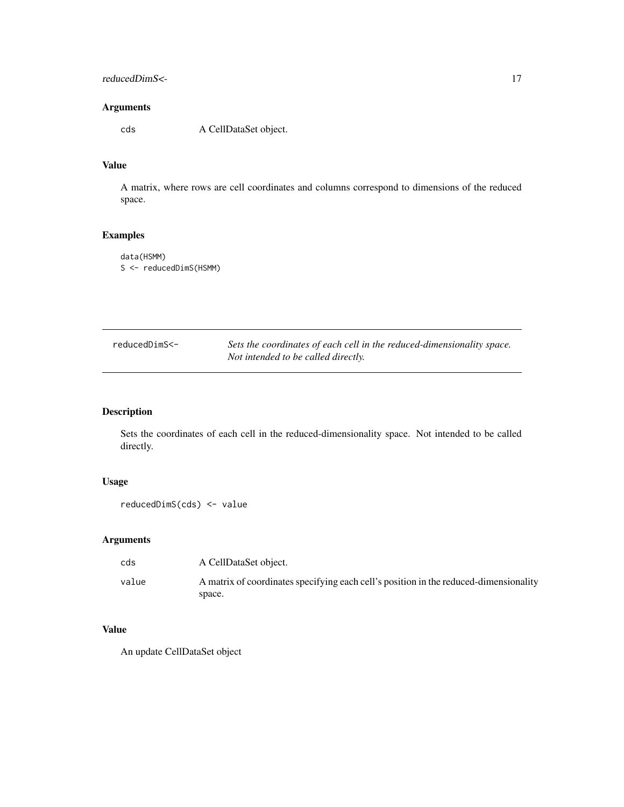# <span id="page-16-0"></span>reducedDimS<- 17

#### Arguments

cds A CellDataSet object.

#### Value

A matrix, where rows are cell coordinates and columns correspond to dimensions of the reduced space.

# Examples

```
data(HSMM)
S <- reducedDimS(HSMM)
```

| reducedDimS<- | Sets the coordinates of each cell in the reduced-dimensionality space. |
|---------------|------------------------------------------------------------------------|
|               | Not intended to be called directly.                                    |

#### Description

Sets the coordinates of each cell in the reduced-dimensionality space. Not intended to be called directly.

# Usage

```
reducedDimS(cds) <- value
```
#### Arguments

| cds   | A CellDataSet object.                                                                 |
|-------|---------------------------------------------------------------------------------------|
| value | A matrix of coordinates specifying each cell's position in the reduced-dimensionality |
|       | space.                                                                                |

# Value

An update CellDataSet object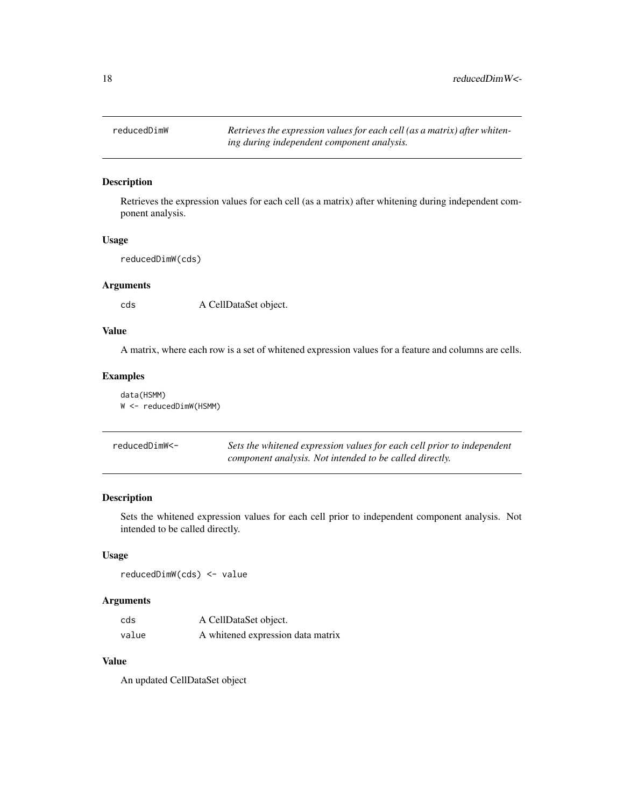<span id="page-17-0"></span>reducedDimW *Retrieves the expression values for each cell (as a matrix) after whitening during independent component analysis.*

#### Description

Retrieves the expression values for each cell (as a matrix) after whitening during independent component analysis.

#### Usage

reducedDimW(cds)

#### Arguments

cds A CellDataSet object.

# Value

A matrix, where each row is a set of whitened expression values for a feature and columns are cells.

#### Examples

|  | data(HSMM)                |
|--|---------------------------|
|  | $W < -$ reducedDimW(HSMM) |

| reducedDimW<- | Sets the whitened expression values for each cell prior to independent |
|---------------|------------------------------------------------------------------------|
|               | component analysis. Not intended to be called directly.                |

#### Description

Sets the whitened expression values for each cell prior to independent component analysis. Not intended to be called directly.

# Usage

reducedDimW(cds) <- value

# Arguments

| cds   | A CellDataSet object.             |
|-------|-----------------------------------|
| value | A whitened expression data matrix |

#### Value

An updated CellDataSet object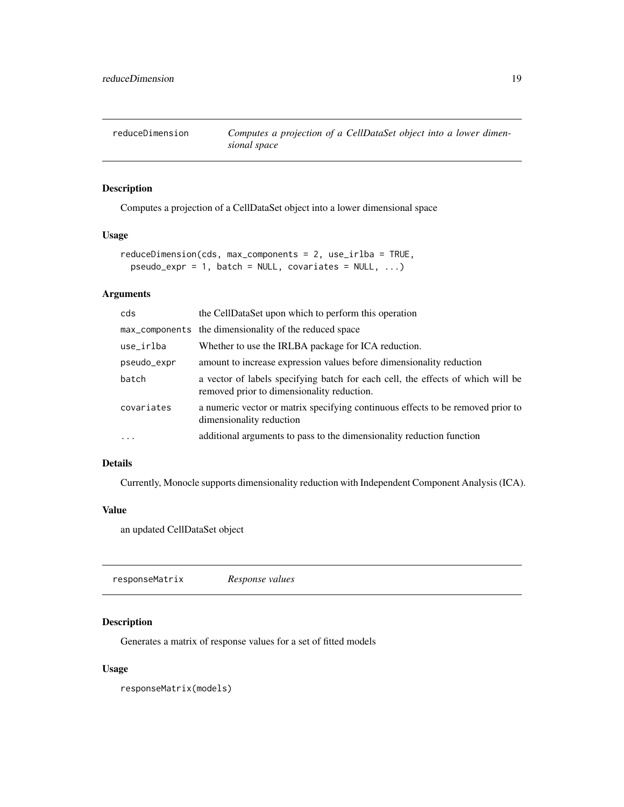<span id="page-18-0"></span>reduceDimension *Computes a projection of a CellDataSet object into a lower dimensional space*

# Description

Computes a projection of a CellDataSet object into a lower dimensional space

#### Usage

```
reduceDimension(cds, max_components = 2, use_irlba = TRUE,
 pseudo\_{expr} = 1, batch = NULL, covariates = NULL, ...)
```
# Arguments

| cds               | the CellDataSet upon which to perform this operation                                                                          |
|-------------------|-------------------------------------------------------------------------------------------------------------------------------|
|                   | max_components the dimensionality of the reduced space                                                                        |
| use_irlba         | Whether to use the IRLBA package for ICA reduction.                                                                           |
| pseudo_expr       | amount to increase expression values before dimensionality reduction                                                          |
| batch             | a vector of labels specifying batch for each cell, the effects of which will be<br>removed prior to dimensionality reduction. |
| covariates        | a numeric vector or matrix specifying continuous effects to be removed prior to<br>dimensionality reduction                   |
| $\cdot\cdot\cdot$ | additional arguments to pass to the dimensionality reduction function                                                         |

#### Details

Currently, Monocle supports dimensionality reduction with Independent Component Analysis (ICA).

#### Value

an updated CellDataSet object

responseMatrix *Response values*

#### Description

Generates a matrix of response values for a set of fitted models

#### Usage

responseMatrix(models)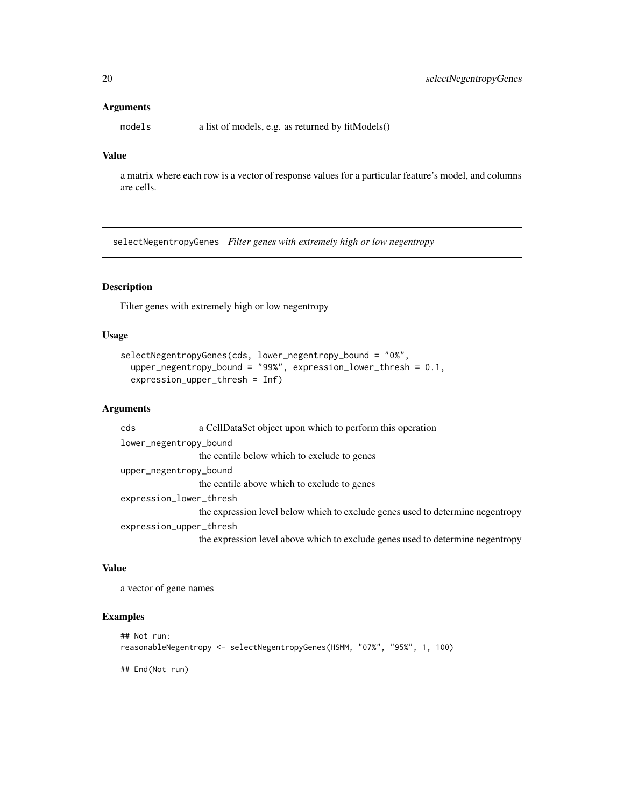models a list of models, e.g. as returned by fitModels()

#### Value

a matrix where each row is a vector of response values for a particular feature's model, and columns are cells.

selectNegentropyGenes *Filter genes with extremely high or low negentropy*

#### Description

Filter genes with extremely high or low negentropy

#### Usage

```
selectNegentropyGenes(cds, lower_negentropy_bound = "0%",
 upper_negentropy_bound = "99%", expression_lower_thresh = 0.1,
 expression_upper_thresh = Inf)
```
#### Arguments

cds a CellDataSet object upon which to perform this operation lower\_negentropy\_bound the centile below which to exclude to genes upper\_negentropy\_bound the centile above which to exclude to genes expression\_lower\_thresh the expression level below which to exclude genes used to determine negentropy expression\_upper\_thresh the expression level above which to exclude genes used to determine negentropy

#### Value

a vector of gene names

#### Examples

```
## Not run:
reasonableNegentropy <- selectNegentropyGenes(HSMM, "07%", "95%", 1, 100)
## End(Not run)
```
<span id="page-19-0"></span>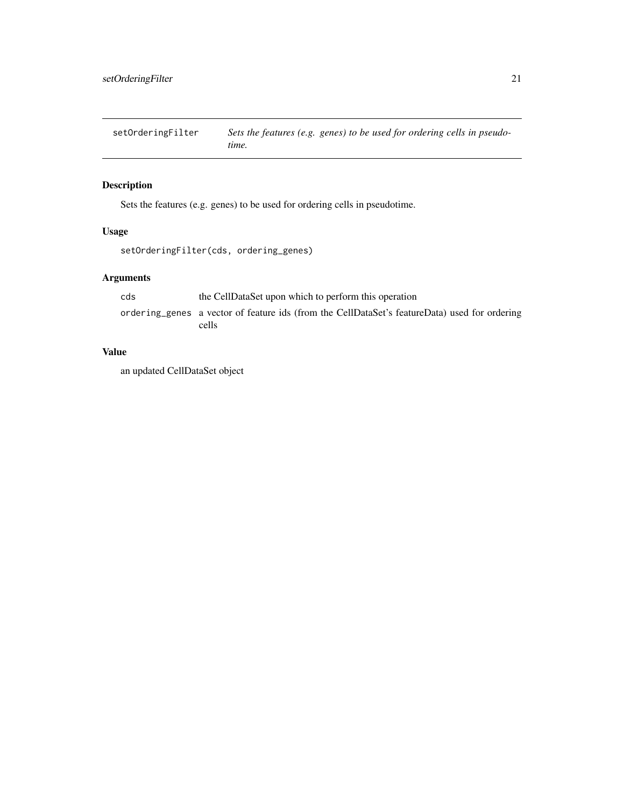<span id="page-20-0"></span>setOrderingFilter *Sets the features (e.g. genes) to be used for ordering cells in pseudotime.*

# Description

Sets the features (e.g. genes) to be used for ordering cells in pseudotime.

## Usage

```
setOrderingFilter(cds, ordering_genes)
```
# Arguments

| cds | the CellDataSet upon which to perform this operation                                          |
|-----|-----------------------------------------------------------------------------------------------|
|     | ordering genes a vector of feature ids (from the CellDataSet's featureData) used for ordering |
|     | cells                                                                                         |

# Value

an updated CellDataSet object